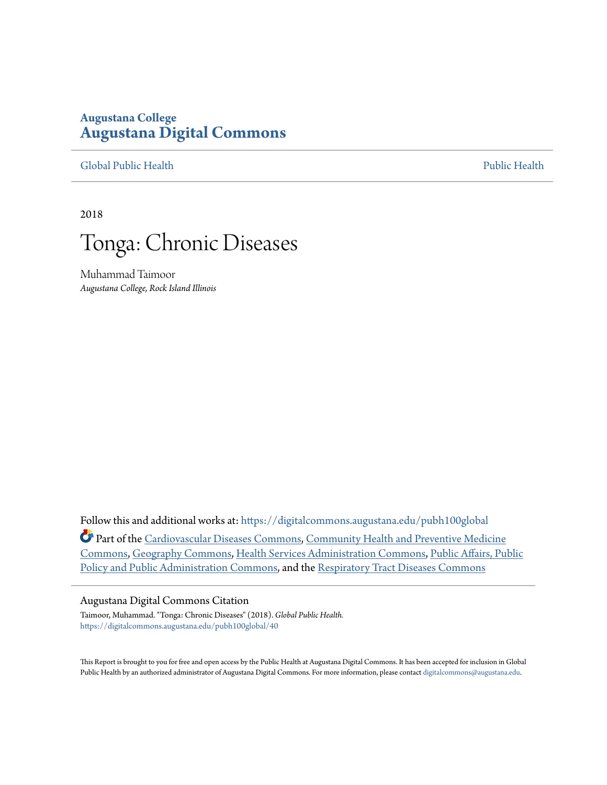# **Augustana College [Augustana Digital Commons](https://digitalcommons.augustana.edu?utm_source=digitalcommons.augustana.edu%2Fpubh100global%2F40&utm_medium=PDF&utm_campaign=PDFCoverPages)**

[Global Public Health](https://digitalcommons.augustana.edu/pubh100global?utm_source=digitalcommons.augustana.edu%2Fpubh100global%2F40&utm_medium=PDF&utm_campaign=PDFCoverPages) [Public Health](https://digitalcommons.augustana.edu/publichealth?utm_source=digitalcommons.augustana.edu%2Fpubh100global%2F40&utm_medium=PDF&utm_campaign=PDFCoverPages)

2018



Muhammad Taimoor *Augustana College, Rock Island Illinois*

Follow this and additional works at: [https://digitalcommons.augustana.edu/pubh100global](https://digitalcommons.augustana.edu/pubh100global?utm_source=digitalcommons.augustana.edu%2Fpubh100global%2F40&utm_medium=PDF&utm_campaign=PDFCoverPages) Part of the [Cardiovascular Diseases Commons,](http://network.bepress.com/hgg/discipline/929?utm_source=digitalcommons.augustana.edu%2Fpubh100global%2F40&utm_medium=PDF&utm_campaign=PDFCoverPages) [Community Health and Preventive Medicine](http://network.bepress.com/hgg/discipline/744?utm_source=digitalcommons.augustana.edu%2Fpubh100global%2F40&utm_medium=PDF&utm_campaign=PDFCoverPages) [Commons,](http://network.bepress.com/hgg/discipline/744?utm_source=digitalcommons.augustana.edu%2Fpubh100global%2F40&utm_medium=PDF&utm_campaign=PDFCoverPages) [Geography Commons,](http://network.bepress.com/hgg/discipline/354?utm_source=digitalcommons.augustana.edu%2Fpubh100global%2F40&utm_medium=PDF&utm_campaign=PDFCoverPages) [Health Services Administration Commons](http://network.bepress.com/hgg/discipline/747?utm_source=digitalcommons.augustana.edu%2Fpubh100global%2F40&utm_medium=PDF&utm_campaign=PDFCoverPages), [Public Affairs, Public](http://network.bepress.com/hgg/discipline/393?utm_source=digitalcommons.augustana.edu%2Fpubh100global%2F40&utm_medium=PDF&utm_campaign=PDFCoverPages) [Policy and Public Administration Commons,](http://network.bepress.com/hgg/discipline/393?utm_source=digitalcommons.augustana.edu%2Fpubh100global%2F40&utm_medium=PDF&utm_campaign=PDFCoverPages) and the [Respiratory Tract Diseases Commons](http://network.bepress.com/hgg/discipline/990?utm_source=digitalcommons.augustana.edu%2Fpubh100global%2F40&utm_medium=PDF&utm_campaign=PDFCoverPages)

#### Augustana Digital Commons Citation

Taimoor, Muhammad. "Tonga: Chronic Diseases" (2018). *Global Public Health.* [https://digitalcommons.augustana.edu/pubh100global/40](https://digitalcommons.augustana.edu/pubh100global/40?utm_source=digitalcommons.augustana.edu%2Fpubh100global%2F40&utm_medium=PDF&utm_campaign=PDFCoverPages)

This Report is brought to you for free and open access by the Public Health at Augustana Digital Commons. It has been accepted for inclusion in Global Public Health by an authorized administrator of Augustana Digital Commons. For more information, please contact [digitalcommons@augustana.edu.](mailto:digitalcommons@augustana.edu)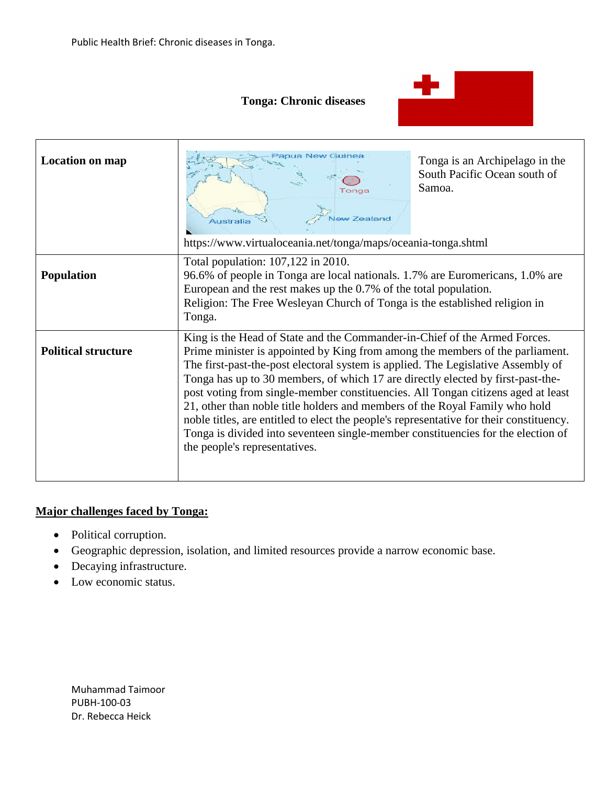$\mathbf{\overline{1}}$ 

 $\Gamma$ 

## **Tonga: Chronic diseases**



| Location on map            | apua New Guine<br>Fonga<br><b>Vew Zealand</b><br>Australia<br>https://www.virtualoceania.net/tonga/maps/oceania-tonga.shtml                                                                                                                                                                                                                                                                                                                                                                                                                                                                                                                                                                                          | Tonga is an Archipelago in the<br>South Pacific Ocean south of<br>Samoa. |
|----------------------------|----------------------------------------------------------------------------------------------------------------------------------------------------------------------------------------------------------------------------------------------------------------------------------------------------------------------------------------------------------------------------------------------------------------------------------------------------------------------------------------------------------------------------------------------------------------------------------------------------------------------------------------------------------------------------------------------------------------------|--------------------------------------------------------------------------|
| <b>Population</b>          | Total population: 107,122 in 2010.<br>96.6% of people in Tonga are local nationals. 1.7% are Euromericans, 1.0% are<br>European and the rest makes up the 0.7% of the total population.<br>Religion: The Free Wesleyan Church of Tonga is the established religion in<br>Tonga.                                                                                                                                                                                                                                                                                                                                                                                                                                      |                                                                          |
| <b>Political structure</b> | King is the Head of State and the Commander-in-Chief of the Armed Forces.<br>Prime minister is appointed by King from among the members of the parliament.<br>The first-past-the-post electoral system is applied. The Legislative Assembly of<br>Tonga has up to 30 members, of which 17 are directly elected by first-past-the-<br>post voting from single-member constituencies. All Tongan citizens aged at least<br>21, other than noble title holders and members of the Royal Family who hold<br>noble titles, are entitled to elect the people's representative for their constituency.<br>Tonga is divided into seventeen single-member constituencies for the election of<br>the people's representatives. |                                                                          |

## **Major challenges faced by Tonga:**

- Political corruption.
- Geographic depression, isolation, and limited resources provide a narrow economic base.
- Decaying infrastructure.
- Low economic status.

Muhammad Taimoor PUBH-100-03 Dr. Rebecca Heick